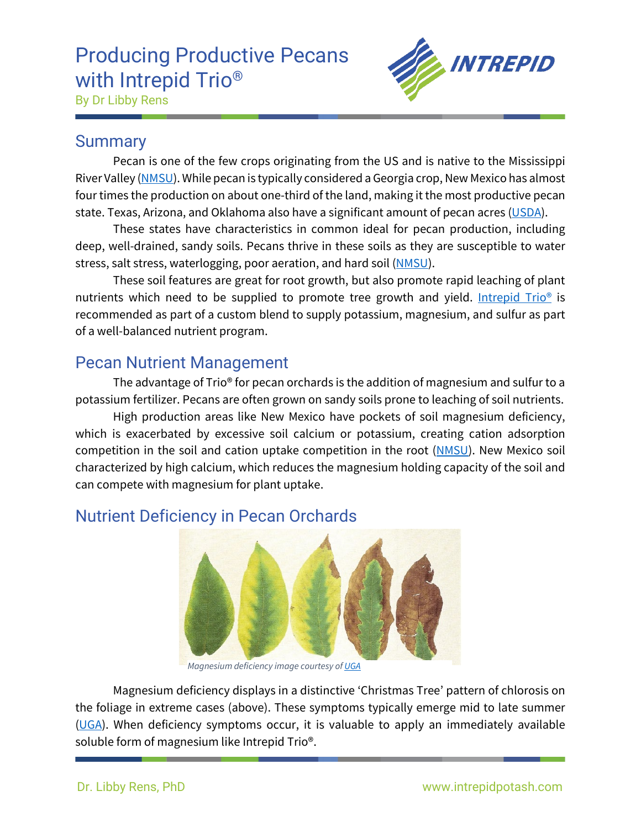# Producing Productive Pecans with Intrepid Trio<sup>®</sup>



By Dr Libby Rens

#### **Summary**

Pecan is one of the few crops originating from the US and is native to the Mississippi River Valley [\(NMSU\)](https://aces.nmsu.edu/ces/pecans/pecan-history.html). While pecan is typically considered a Georgia crop, New Mexico has almost four times the production on about one-third of the land, making it the most productive pecan state. Texas, Arizona, and Oklahoma also have a significant amount of pecan acres [\(USDA\)](https://www.nass.usda.gov/Publications/Todays_Reports/reports/pecnpr20.pdf).

These states have characteristics in common ideal for pecan production, including deep, well-drained, sandy soils. Pecans thrive in these soils as they are susceptible to water stress, salt stress, waterlogging, poor aeration, and hard soil [\(NMSU\)](https://aces.nmsu.edu/pubs/_h/H649/welcome.html).

These soil features are great for root growth, but also promote rapid leaching of plant nutrients which need to be supplied to promote tree growth and yield. Intrepid Trio<sup>®</sup> is recommended as part of a custom blend to supply potassium, magnesium, and sulfur as part of a well-balanced nutrient program.

### Pecan Nutrient Management

The advantage of Trio® for pecan orchards is the addition of magnesium and sulfur to a potassium fertilizer. Pecans are often grown on sandy soils prone to leaching of soil nutrients.

High production areas like New Mexico have pockets of soil magnesium deficiency, which is exacerbated by excessive soil calcium or potassium, creating cation adsorption competition in the soil and cation uptake competition in the root [\(NMSU\)](https://aces.nmsu.edu/pubs/_h/H602/welcome.html). New Mexico soil characterized by high calcium, which reduces the magnesium holding capacity of the soil and can compete with magnesium for plant uptake.



## Nutrient Deficiency in Pecan Orchards

*Magnesium deficiency image courtesy o[f UGA](https://athenaeum.libs.uga.edu/bitstream/handle/10724/12340/B1332.pdf?sequence=1)*

Magnesium deficiency displays in a distinctive 'Christmas Tree' pattern of chlorosis on the foliage in extreme cases (above). These symptoms typically emerge mid to late summer  $(UGA)$ . When deficiency symptoms occur, it is valuable to apply an immediately available soluble form of magnesium like Intrepid Trio®.